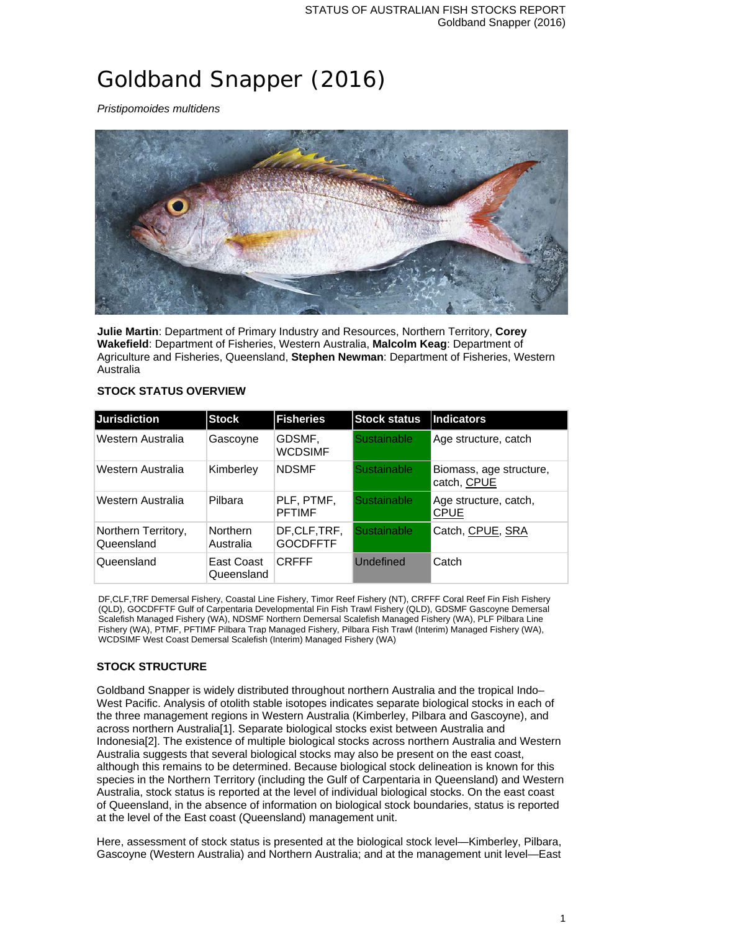# Goldband Snapper (2016)

*Pristipomoides multidens*



**Julie Martin**: Department of Primary Industry and Resources, Northern Territory, **Corey Wakefield**: Department of Fisheries, Western Australia, **Malcolm Keag**: Department of Agriculture and Fisheries, Queensland, **Stephen Newman**: Department of Fisheries, Western Australia

#### **STOCK STATUS OVERVIEW**

| <b>Jurisdiction</b>               | <b>Stock</b>             | <b>Fisheries</b>               | <b>Stock status</b> | Indicators                             |
|-----------------------------------|--------------------------|--------------------------------|---------------------|----------------------------------------|
| Western Australia                 | Gascoyne                 | GDSMF,<br><b>WCDSIMF</b>       | <b>Sustainable</b>  | Age structure, catch                   |
| Western Australia                 | Kimberley                | <b>NDSMF</b>                   | <b>Sustainable</b>  | Biomass, age structure,<br>catch, CPUE |
| Western Australia                 | Pilbara                  | PLF, PTMF,<br><b>PFTIMF</b>    | <b>Sustainable</b>  | Age structure, catch,<br><b>CPUE</b>   |
| Northern Territory,<br>Queensland | Northern<br>Australia    | DF,CLF,TRF,<br><b>GOCDFFTF</b> | <b>Sustainable</b>  | Catch, CPUE, SRA                       |
| Queensland                        | East Coast<br>Queensland | <b>CRFFF</b>                   | Undefined           | Catch                                  |

DF,CLF,TRF Demersal Fishery, Coastal Line Fishery, Timor Reef Fishery (NT), CRFFF Coral Reef Fin Fish Fishery (QLD), GOCDFFTF Gulf of Carpentaria Developmental Fin Fish Trawl Fishery (QLD), GDSMF Gascoyne Demersal Scalefish Managed Fishery (WA), NDSMF Northern Demersal Scalefish Managed Fishery (WA), PLF Pilbara Line Fishery (WA), PTMF, PFTIMF Pilbara Trap Managed Fishery, Pilbara Fish Trawl (Interim) Managed Fishery (WA), WCDSIMF West Coast Demersal Scalefish (Interim) Managed Fishery (WA)

# **STOCK STRUCTURE**

Goldband Snapper is widely distributed throughout northern Australia and the tropical Indo– West Pacific. Analysis of otolith stable isotopes indicates separate biological stocks in each of the three management regions in Western Australia (Kimberley, Pilbara and Gascoyne), and across northern Australia[1]. Separate biological stocks exist between Australia and Indonesia[2]. The existence of multiple biological stocks across northern Australia and Western Australia suggests that several biological stocks may also be present on the east coast, although this remains to be determined. Because biological stock delineation is known for this species in the Northern Territory (including the Gulf of Carpentaria in Queensland) and Western Australia, stock status is reported at the level of individual biological stocks. On the east coast of Queensland, in the absence of information on biological stock boundaries, status is reported at the level of the East coast (Queensland) management unit.

Here, assessment of stock status is presented at the biological stock level—Kimberley, Pilbara, Gascoyne (Western Australia) and Northern Australia; and at the management unit level—East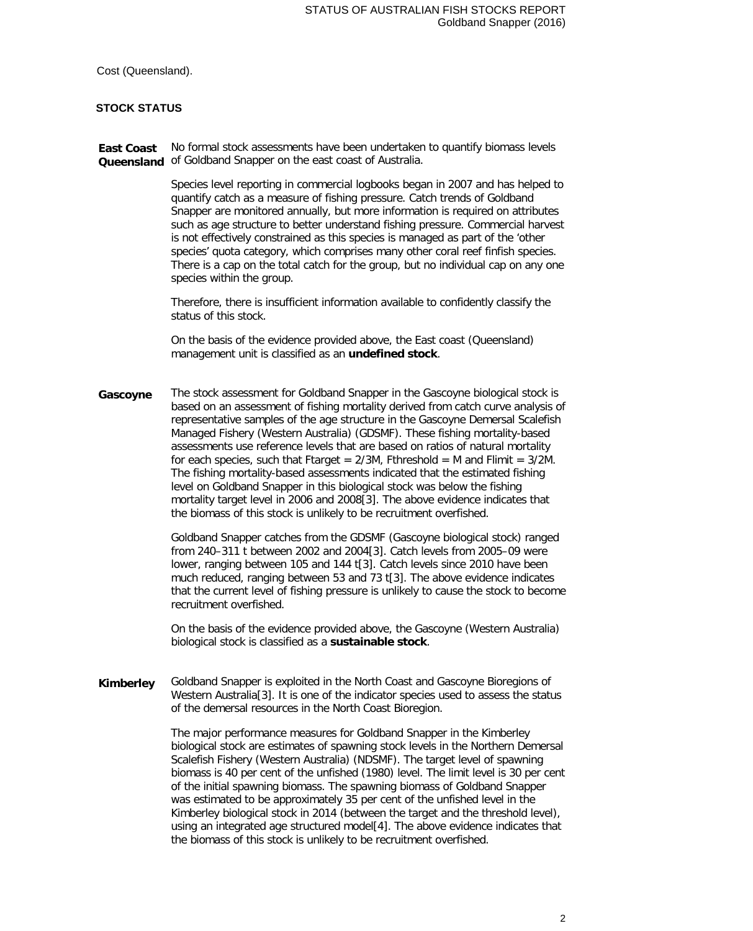Cost (Queensland).

#### **STOCK STATUS**

**East Coast**  No formal stock assessments have been undertaken to quantify biomass levels **Queensland** of Goldband Snapper on the east coast of Australia.

> Species level reporting in commercial logbooks began in 2007 and has helped to quantify catch as a measure of fishing pressure. Catch trends of Goldband Snapper are monitored annually, but more information is required on attributes such as age structure to better understand fishing pressure. Commercial harvest is not effectively constrained as this species is managed as part of the 'other species' quota category, which comprises many other coral reef finfish species. There is a cap on the total catch for the group, but no individual cap on any one species within the group.

Therefore, there is insufficient information available to confidently classify the status of this stock.

On the basis of the evidence provided above, the East coast (Queensland) management unit is classified as an **undefined stock**.

**Gascoyne** The stock assessment for Goldband Snapper in the Gascoyne biological stock is based on an assessment of fishing mortality derived from catch curve analysis of representative samples of the age structure in the Gascoyne Demersal Scalefish Managed Fishery (Western Australia) (GDSMF). These fishing mortality-based assessments use reference levels that are based on ratios of natural mortality for each species, such that Ftarget =  $2/3M$ , Fthreshold = M and Flimit =  $3/2M$ . The fishing mortality-based assessments indicated that the estimated fishing level on Goldband Snapper in this biological stock was below the fishing mortality target level in 2006 and 2008[3]. The above evidence indicates that the biomass of this stock is unlikely to be recruitment overfished.

> Goldband Snapper catches from the GDSMF (Gascoyne biological stock) ranged from 240–311 t between 2002 and 2004[3]. Catch levels from 2005–09 were lower, ranging between 105 and 144 t[3]. Catch levels since 2010 have been much reduced, ranging between 53 and 73 t[3]. The above evidence indicates that the current level of fishing pressure is unlikely to cause the stock to become recruitment overfished.

On the basis of the evidence provided above, the Gascoyne (Western Australia) biological stock is classified as a **sustainable stock**.

**Kimberley** Goldband Snapper is exploited in the North Coast and Gascoyne Bioregions of Western Australia[3]. It is one of the indicator species used to assess the status of the demersal resources in the North Coast Bioregion.

> The major performance measures for Goldband Snapper in the Kimberley biological stock are estimates of spawning stock levels in the Northern Demersal Scalefish Fishery (Western Australia) (NDSMF). The target level of spawning biomass is 40 per cent of the unfished (1980) level. The limit level is 30 per cent of the initial spawning biomass. The spawning biomass of Goldband Snapper was estimated to be approximately 35 per cent of the unfished level in the Kimberley biological stock in 2014 (between the target and the threshold level), using an integrated age structured model[4]. The above evidence indicates that the biomass of this stock is unlikely to be recruitment overfished.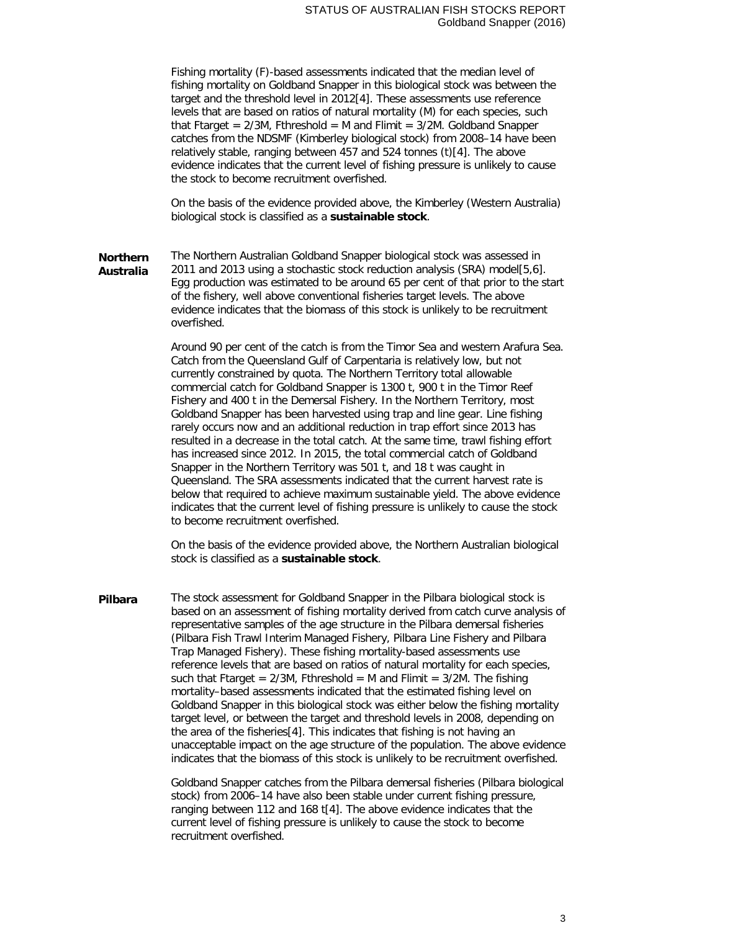Fishing mortality (F)-based assessments indicated that the median level of fishing mortality on Goldband Snapper in this biological stock was between the target and the threshold level in 2012[4]. These assessments use reference levels that are based on ratios of natural mortality (M) for each species, such that Ftarget =  $2/3M$ , Fthreshold = M and Flimit =  $3/2M$ . Goldband Snapper catches from the NDSMF (Kimberley biological stock) from 2008–14 have been relatively stable, ranging between 457 and 524 tonnes (t)[4]. The above evidence indicates that the current level of fishing pressure is unlikely to cause the stock to become recruitment overfished.

On the basis of the evidence provided above, the Kimberley (Western Australia) biological stock is classified as a **sustainable stock**.

**Northern Australia** The Northern Australian Goldband Snapper biological stock was assessed in 2011 and 2013 using a stochastic stock reduction analysis (SRA) model[5,6]. Egg production was estimated to be around 65 per cent of that prior to the start of the fishery, well above conventional fisheries target levels. The above evidence indicates that the biomass of this stock is unlikely to be recruitment overfished.

> Around 90 per cent of the catch is from the Timor Sea and western Arafura Sea. Catch from the Queensland Gulf of Carpentaria is relatively low, but not currently constrained by quota. The Northern Territory total allowable commercial catch for Goldband Snapper is 1300 t, 900 t in the Timor Reef Fishery and 400 t in the Demersal Fishery. In the Northern Territory, most Goldband Snapper has been harvested using trap and line gear. Line fishing rarely occurs now and an additional reduction in trap effort since 2013 has resulted in a decrease in the total catch. At the same time, trawl fishing effort has increased since 2012. In 2015, the total commercial catch of Goldband Snapper in the Northern Territory was 501 t, and 18 t was caught in Queensland. The SRA assessments indicated that the current harvest rate is below that required to achieve maximum sustainable yield. The above evidence indicates that the current level of fishing pressure is unlikely to cause the stock to become recruitment overfished.

On the basis of the evidence provided above, the Northern Australian biological stock is classified as a **sustainable stock**.

**Pilbara** The stock assessment for Goldband Snapper in the Pilbara biological stock is based on an assessment of fishing mortality derived from catch curve analysis of representative samples of the age structure in the Pilbara demersal fisheries (Pilbara Fish Trawl Interim Managed Fishery, Pilbara Line Fishery and Pilbara Trap Managed Fishery). These fishing mortality-based assessments use reference levels that are based on ratios of natural mortality for each species, such that Ftarget =  $2/3M$ , Fthreshold = M and Flimit =  $3/2M$ . The fishing mortality–based assessments indicated that the estimated fishing level on Goldband Snapper in this biological stock was either below the fishing mortality target level, or between the target and threshold levels in 2008, depending on the area of the fisheries[4]. This indicates that fishing is not having an unacceptable impact on the age structure of the population. The above evidence indicates that the biomass of this stock is unlikely to be recruitment overfished.

> Goldband Snapper catches from the Pilbara demersal fisheries (Pilbara biological stock) from 2006–14 have also been stable under current fishing pressure, ranging between 112 and 168 t[4]. The above evidence indicates that the current level of fishing pressure is unlikely to cause the stock to become recruitment overfished.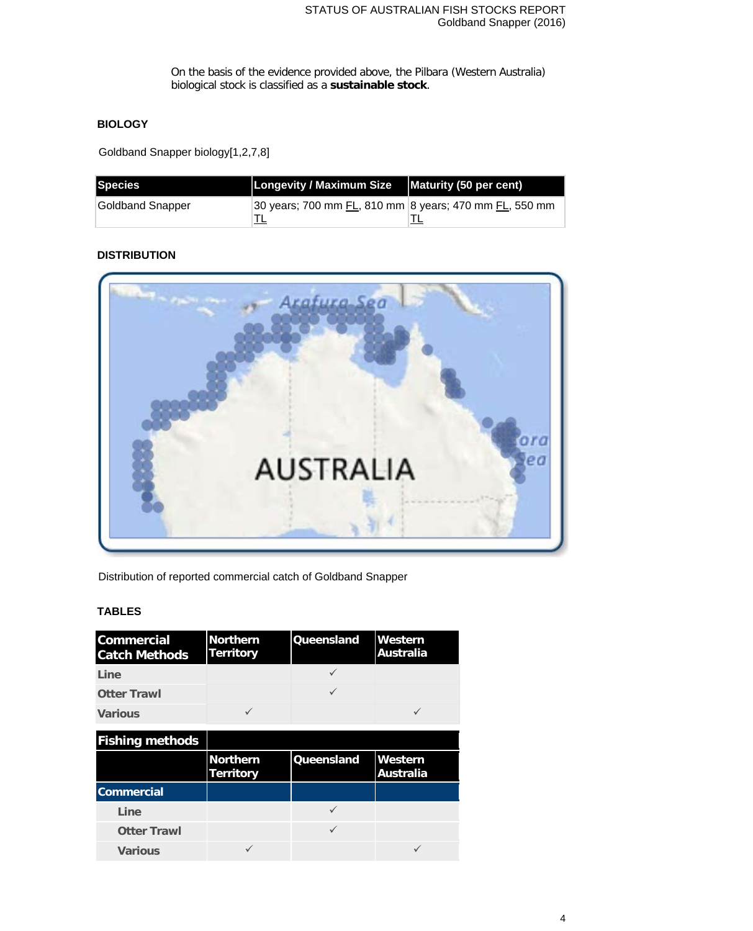On the basis of the evidence provided above, the Pilbara (Western Australia) biological stock is classified as a **sustainable stock**.

# **BIOLOGY**

Goldband Snapper biology[1,2,7,8]

| Species          | Longevity / Maximum Size   Maturity (50 per cent)      |  |
|------------------|--------------------------------------------------------|--|
| Goldband Snapper | 30 years; 700 mm FL, 810 mm 8 years; 470 mm FL, 550 mm |  |
|                  |                                                        |  |

# **DISTRIBUTION**



Distribution of reported commercial catch of Goldband Snapper

#### **TABLES**

| <b>Commercial</b><br><b>Catch Methods</b> | <b>Northern</b><br><b>Territory</b> | <b>Queensland</b> | Western<br><b>Australia</b> |
|-------------------------------------------|-------------------------------------|-------------------|-----------------------------|
| Line                                      |                                     |                   |                             |
| <b>Otter Trawl</b>                        |                                     | $\checkmark$      |                             |
| <b>Various</b>                            | ✓                                   |                   | ✓                           |
| <b>Fishing methods</b>                    |                                     |                   |                             |
|                                           | <b>Northern</b><br><b>Territory</b> | Queensland        | Western<br><b>Australia</b> |
| <b>Commercial</b>                         |                                     |                   |                             |
| Line                                      |                                     |                   |                             |
| <b>Otter Trawl</b>                        |                                     | ✓                 |                             |
| <b>Various</b>                            |                                     |                   |                             |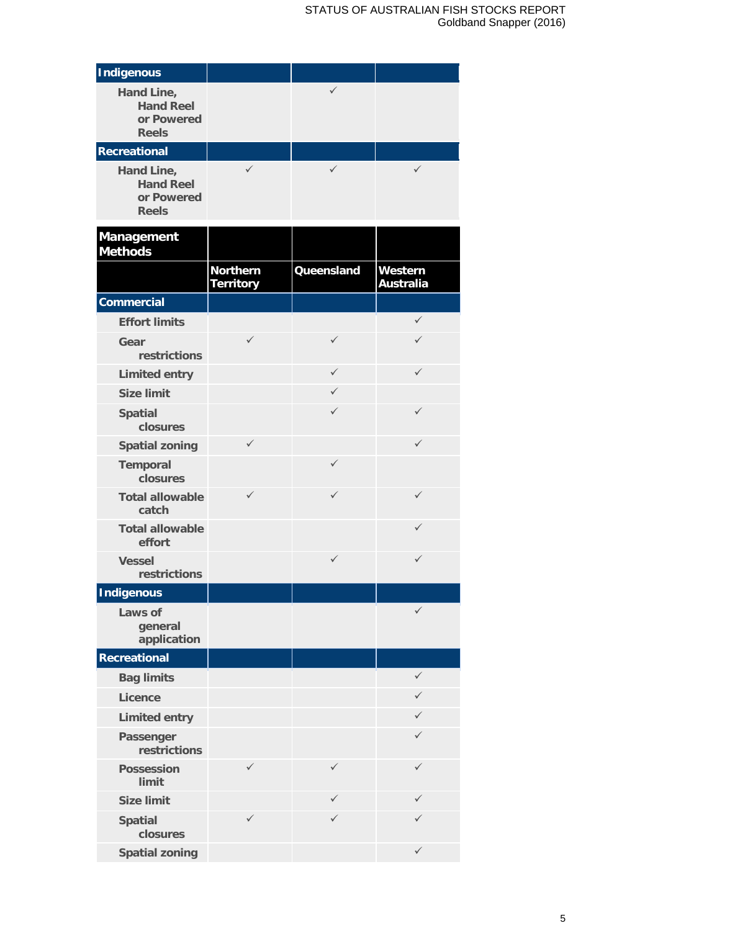# STATUS OF AUSTRALIAN FISH STOCKS REPORT Goldband Snapper (2016)

| <b>Indigenous</b>                                            |                                     |              |                             |
|--------------------------------------------------------------|-------------------------------------|--------------|-----------------------------|
| Hand Line,<br><b>Hand Reel</b><br>or Powered<br><b>Reels</b> |                                     | $\checkmark$ |                             |
| <b>Recreational</b>                                          |                                     |              |                             |
| Hand Line,<br><b>Hand Reel</b><br>or Powered<br><b>Reels</b> | $\checkmark$                        | $\checkmark$ | $\checkmark$                |
| <b>Management</b><br><b>Methods</b>                          |                                     |              |                             |
|                                                              | <b>Northern</b><br><b>Territory</b> | Queensland   | Western<br><b>Australia</b> |
| <b>Commercial</b>                                            |                                     |              |                             |
| <b>Effort limits</b>                                         |                                     |              | $\checkmark$                |
| Gear<br>restrictions                                         | $\checkmark$                        | $\checkmark$ | ✓                           |
| <b>Limited entry</b>                                         |                                     | $\checkmark$ | $\checkmark$                |
| <b>Size limit</b>                                            |                                     | $\checkmark$ |                             |
| <b>Spatial</b><br>closures                                   |                                     | $\checkmark$ | ✓                           |
| <b>Spatial zoning</b>                                        | $\checkmark$                        |              | ✓                           |
| <b>Temporal</b><br>closures                                  |                                     | $\checkmark$ |                             |
| <b>Total allowable</b><br>catch                              | $\checkmark$                        | $\checkmark$ | ✓                           |
| <b>Total allowable</b><br>effort                             |                                     |              | ✓                           |
| <b>Vessel</b><br>restrictions                                |                                     | $\checkmark$ | $\checkmark$                |
| <b>Indigenous</b>                                            |                                     |              |                             |
| Laws of<br>general<br>application                            |                                     |              | $\checkmark$                |
| <b>Recreational</b>                                          |                                     |              |                             |
| <b>Bag limits</b>                                            |                                     |              | $\checkmark$                |
| <b>Licence</b>                                               |                                     |              | ✓                           |
| <b>Limited entry</b>                                         |                                     |              | ✓                           |
| Passenger<br>restrictions                                    |                                     |              | ✓                           |
| <b>Possession</b><br>limit                                   | ✓                                   | ✓            | ✓                           |
| <b>Size limit</b>                                            |                                     | ✓            | ✓                           |
| <b>Spatial</b><br>closures                                   | ✓                                   | ✓            |                             |
| <b>Spatial zoning</b>                                        |                                     |              | $\checkmark$                |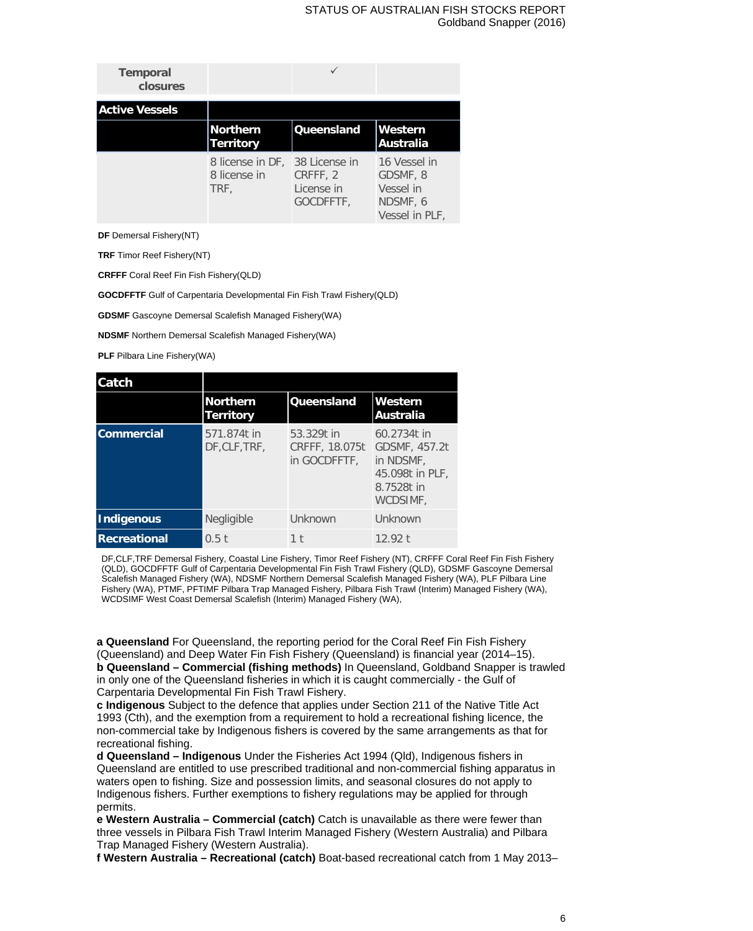#### STATUS OF AUSTRALIAN FISH STOCKS REPORT Goldband Snapper (2016)

| <b>Temporal</b><br>closures |                                                        |                                     |                                                                     |
|-----------------------------|--------------------------------------------------------|-------------------------------------|---------------------------------------------------------------------|
| <b>Active Vessels</b>       |                                                        |                                     |                                                                     |
|                             | Northern<br><b>Territory</b>                           | <b>Queensland</b>                   | <b>Western</b><br> Australia                                        |
|                             | 8 license in DF, 38 License in<br>8 license in<br>TRF, | CRFFF, 2<br>License in<br>GOCDFFTF, | 16 Vessel in<br>GDSMF, 8<br>Vessel in<br>NDSMF, 6<br>Vessel in PLF, |

**DF** Demersal Fishery(NT)

**TRF** Timor Reef Fishery(NT)

**CRFFF** Coral Reef Fin Fish Fishery(QLD)

**GOCDFFTF** Gulf of Carpentaria Developmental Fin Fish Trawl Fishery(QLD)

**GDSMF** Gascoyne Demersal Scalefish Managed Fishery(WA)

**NDSMF** Northern Demersal Scalefish Managed Fishery(WA)

**PLF** Pilbara Line Fishery(WA)

| Catch               |                                     |                                              |                                                                                        |
|---------------------|-------------------------------------|----------------------------------------------|----------------------------------------------------------------------------------------|
|                     | <b>Northern</b><br><b>Territory</b> | <b>Queensland</b>                            | Western<br><b>Australia</b>                                                            |
| <b>Commercial</b>   | 571.874t in<br>DF, CLF, TRF,        | 53.329t in<br>CRFFF, 18.075t<br>in GOCDFFTF. | 60.2734t in<br>GDSMF, 457.2t<br>in NDSMF,<br>45.098t in PLF,<br>8.7528t in<br>WCDSIMF, |
| <b>Indigenous</b>   | Negligible                          | Unknown                                      | Unknown                                                                                |
| <b>Recreational</b> | 0.5t                                | 1 <sup>†</sup>                               | 12.92 $t$                                                                              |

DF,CLF,TRF Demersal Fishery, Coastal Line Fishery, Timor Reef Fishery (NT), CRFFF Coral Reef Fin Fish Fishery (QLD), GOCDFFTF Gulf of Carpentaria Developmental Fin Fish Trawl Fishery (QLD), GDSMF Gascoyne Demersal Scalefish Managed Fishery (WA), NDSMF Northern Demersal Scalefish Managed Fishery (WA), PLF Pilbara Line Fishery (WA), PTMF, PFTIMF Pilbara Trap Managed Fishery, Pilbara Fish Trawl (Interim) Managed Fishery (WA), WCDSIMF West Coast Demersal Scalefish (Interim) Managed Fishery (WA),

**a Queensland** For Queensland, the reporting period for the Coral Reef Fin Fish Fishery (Queensland) and Deep Water Fin Fish Fishery (Queensland) is financial year (2014–15). **b Queensland – Commercial (fishing methods)** In Queensland, Goldband Snapper is trawled in only one of the Queensland fisheries in which it is caught commercially - the Gulf of Carpentaria Developmental Fin Fish Trawl Fishery.

**c Indigenous** Subject to the defence that applies under Section 211 of the Native Title Act 1993 (Cth), and the exemption from a requirement to hold a recreational fishing licence, the non-commercial take by Indigenous fishers is covered by the same arrangements as that for recreational fishing.

**d Queensland – Indigenous** Under the Fisheries Act 1994 (Qld), Indigenous fishers in Queensland are entitled to use prescribed traditional and non-commercial fishing apparatus in waters open to fishing. Size and possession limits, and seasonal closures do not apply to Indigenous fishers. Further exemptions to fishery regulations may be applied for through permits.

**e Western Australia – Commercial (catch)** Catch is unavailable as there were fewer than three vessels in Pilbara Fish Trawl Interim Managed Fishery (Western Australia) and Pilbara Trap Managed Fishery (Western Australia).

**f Western Australia – Recreational (catch)** Boat-based recreational catch from 1 May 2013–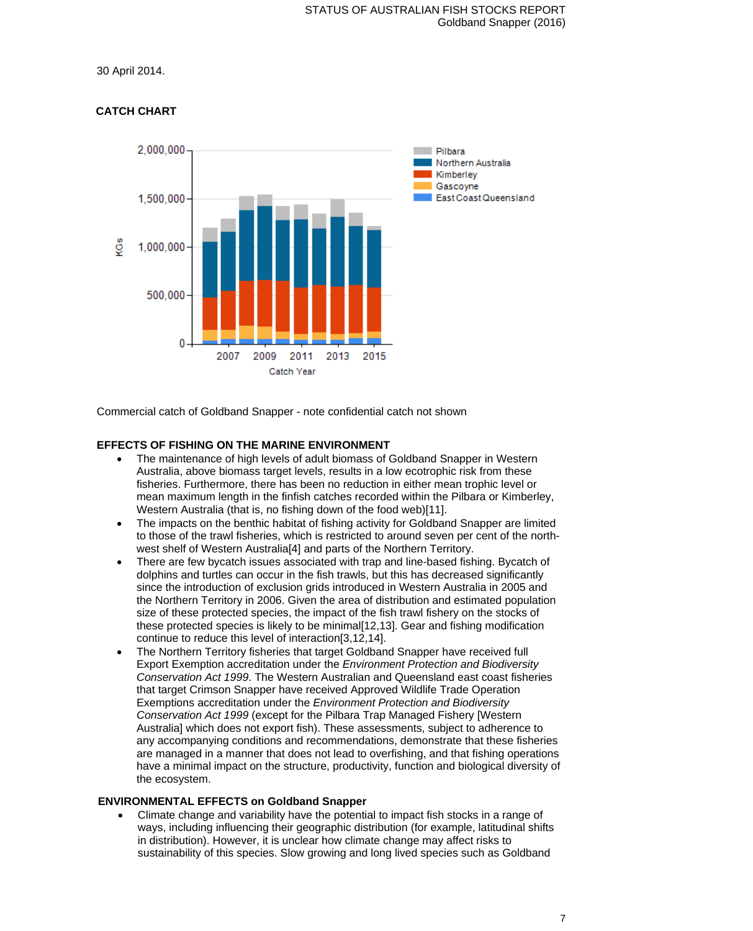30 April 2014.



# **CATCH CHART**

Commercial catch of Goldband Snapper - note confidential catch not shown

# **EFFECTS OF FISHING ON THE MARINE ENVIRONMENT**

- The maintenance of high levels of adult biomass of Goldband Snapper in Western Australia, above biomass target levels, results in a low ecotrophic risk from these fisheries. Furthermore, there has been no reduction in either mean trophic level or mean maximum length in the finfish catches recorded within the Pilbara or Kimberley, Western Australia (that is, no fishing down of the food web)[11].
- The impacts on the benthic habitat of fishing activity for Goldband Snapper are limited to those of the trawl fisheries, which is restricted to around seven per cent of the northwest shelf of Western Australia[4] and parts of the Northern Territory.
- There are few bycatch issues associated with trap and line-based fishing. Bycatch of dolphins and turtles can occur in the fish trawls, but this has decreased significantly since the introduction of exclusion grids introduced in Western Australia in 2005 and the Northern Territory in 2006. Given the area of distribution and estimated population size of these protected species, the impact of the fish trawl fishery on the stocks of these protected species is likely to be minimal[12,13]. Gear and fishing modification continue to reduce this level of interaction[3,12,14].
- The Northern Territory fisheries that target Goldband Snapper have received full Export Exemption accreditation under the *Environment Protection and Biodiversity Conservation Act 1999*. The Western Australian and Queensland east coast fisheries that target Crimson Snapper have received Approved Wildlife Trade Operation Exemptions accreditation under the *Environment Protection and Biodiversity Conservation Act 1999* (except for the Pilbara Trap Managed Fishery [Western Australia] which does not export fish). These assessments, subject to adherence to any accompanying conditions and recommendations, demonstrate that these fisheries are managed in a manner that does not lead to overfishing, and that fishing operations have a minimal impact on the structure, productivity, function and biological diversity of the ecosystem.

# **ENVIRONMENTAL EFFECTS on Goldband Snapper**

• Climate change and variability have the potential to impact fish stocks in a range of ways, including influencing their geographic distribution (for example, latitudinal shifts in distribution). However, it is unclear how climate change may affect risks to sustainability of this species. Slow growing and long lived species such as Goldband